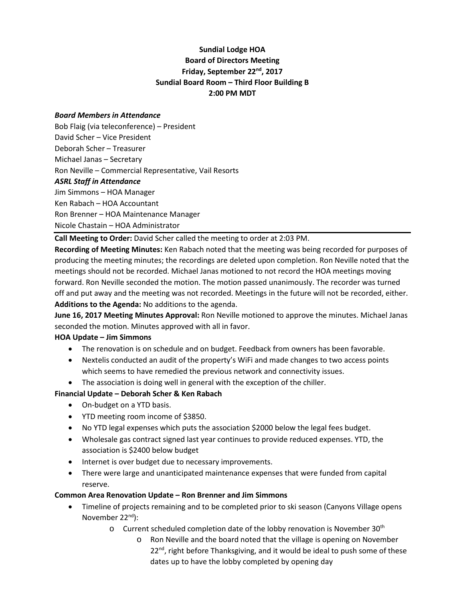# **Sundial Lodge HOA Board of Directors Meeting Friday, September 22nd, 2017 Sundial Board Room – Third Floor Building B 2:00 PM MDT**

#### *Board Members in Attendance*

Bob Flaig (via teleconference) – President David Scher – Vice President Deborah Scher – Treasurer Michael Janas – Secretary Ron Neville – Commercial Representative, Vail Resorts *ASRL Staff in Attendance* Jim Simmons – HOA Manager Ken Rabach – HOA Accountant Ron Brenner – HOA Maintenance Manager Nicole Chastain – HOA Administrator

**Call Meeting to Order:** David Scher called the meeting to order at 2:03 PM.

**Recording of Meeting Minutes:** Ken Rabach noted that the meeting was being recorded for purposes of producing the meeting minutes; the recordings are deleted upon completion. Ron Neville noted that the meetings should not be recorded. Michael Janas motioned to not record the HOA meetings moving forward. Ron Neville seconded the motion. The motion passed unanimously. The recorder was turned off and put away and the meeting was not recorded. Meetings in the future will not be recorded, either. **Additions to the Agenda:** No additions to the agenda.

**June 16, 2017 Meeting Minutes Approval:** Ron Neville motioned to approve the minutes. Michael Janas seconded the motion. Minutes approved with all in favor.

#### **HOA Update – Jim Simmons**

- The renovation is on schedule and on budget. Feedback from owners has been favorable.
- Nextelis conducted an audit of the property's WiFi and made changes to two access points which seems to have remedied the previous network and connectivity issues.
- The association is doing well in general with the exception of the chiller.

#### **Financial Update – Deborah Scher & Ken Rabach**

- On-budget on a YTD basis.
- YTD meeting room income of \$3850.
- No YTD legal expenses which puts the association \$2000 below the legal fees budget.
- Wholesale gas contract signed last year continues to provide reduced expenses. YTD, the association is \$2400 below budget
- Internet is over budget due to necessary improvements.
- There were large and unanticipated maintenance expenses that were funded from capital reserve.

#### **Common Area Renovation Update – Ron Brenner and Jim Simmons**

- Timeline of projects remaining and to be completed prior to ski season (Canyons Village opens November 22<sup>nd</sup>):
	- $\circ$  Current scheduled completion date of the lobby renovation is November 30<sup>th</sup>
		- o Ron Neville and the board noted that the village is opening on November  $22<sup>nd</sup>$ , right before Thanksgiving, and it would be ideal to push some of these dates up to have the lobby completed by opening day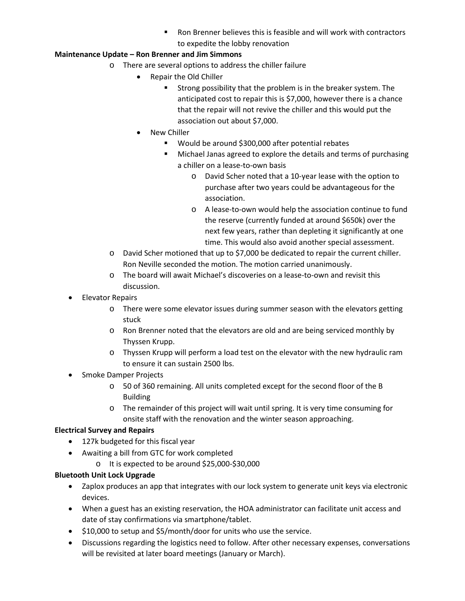Ron Brenner believes this is feasible and will work with contractors to expedite the lobby renovation

## **Maintenance Update – Ron Brenner and Jim Simmons**

- o There are several options to address the chiller failure
	- Repair the Old Chiller
		- Strong possibility that the problem is in the breaker system. The anticipated cost to repair this is \$7,000, however there is a chance that the repair will not revive the chiller and this would put the association out about \$7,000.
	- New Chiller
		- Would be around \$300,000 after potential rebates
		- **Michael Janas agreed to explore the details and terms of purchasing** a chiller on a lease-to-own basis
			- o David Scher noted that a 10-year lease with the option to purchase after two years could be advantageous for the association.
			- o A lease-to-own would help the association continue to fund the reserve (currently funded at around \$650k) over the next few years, rather than depleting it significantly at one time. This would also avoid another special assessment.
- o David Scher motioned that up to \$7,000 be dedicated to repair the current chiller. Ron Neville seconded the motion. The motion carried unanimously.
- o The board will await Michael's discoveries on a lease-to-own and revisit this discussion.
- Elevator Repairs
	- o There were some elevator issues during summer season with the elevators getting stuck
	- o Ron Brenner noted that the elevators are old and are being serviced monthly by Thyssen Krupp.
	- o Thyssen Krupp will perform a load test on the elevator with the new hydraulic ram to ensure it can sustain 2500 lbs.
- Smoke Damper Projects
	- o 50 of 360 remaining. All units completed except for the second floor of the B Building
	- o The remainder of this project will wait until spring. It is very time consuming for onsite staff with the renovation and the winter season approaching.

## **Electrical Survey and Repairs**

- 127k budgeted for this fiscal year
- Awaiting a bill from GTC for work completed
	- o It is expected to be around \$25,000-\$30,000

## **Bluetooth Unit Lock Upgrade**

- Zaplox produces an app that integrates with our lock system to generate unit keys via electronic devices.
- When a guest has an existing reservation, the HOA administrator can facilitate unit access and date of stay confirmations via smartphone/tablet.
- \$10,000 to setup and \$5/month/door for units who use the service.
- Discussions regarding the logistics need to follow. After other necessary expenses, conversations will be revisited at later board meetings (January or March).